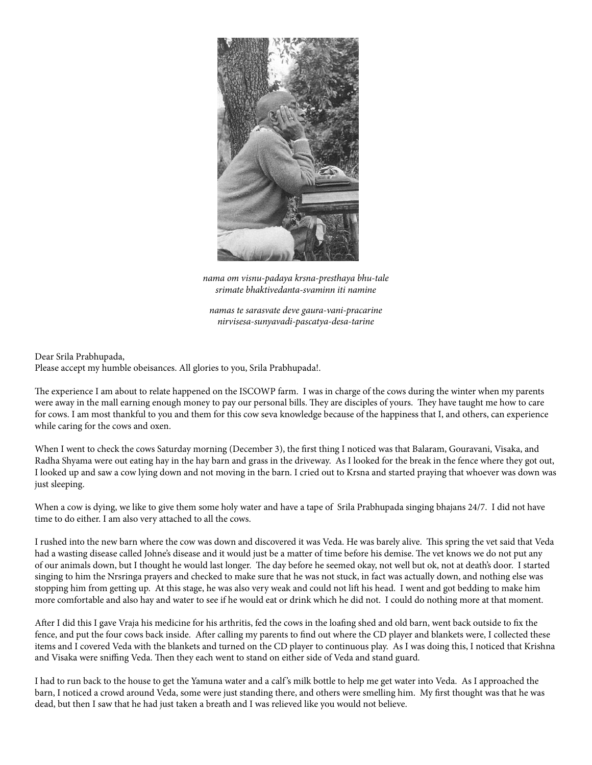

*nama om visnu-padaya krsna-presthaya bhu-tale srimate bhaktivedanta-svaminn iti namine*

*namas te sarasvate deve gaura-vani-pracarine nirvisesa-sunyavadi-pascatya-desa-tarine*

Dear Srila Prabhupada,

Please accept my humble obeisances. All glories to you, Srila Prabhupada!.

The experience I am about to relate happened on the ISCOWP farm. I was in charge of the cows during the winter when my parents were away in the mall earning enough money to pay our personal bills. They are disciples of yours. They have taught me how to care for cows. I am most thankful to you and them for this cow seva knowledge because of the happiness that I, and others, can experience while caring for the cows and oxen.

When I went to check the cows Saturday morning (December 3), the first thing I noticed was that Balaram, Gouravani, Visaka, and Radha Shyama were out eating hay in the hay barn and grass in the driveway. As I looked for the break in the fence where they got out, I looked up and saw a cow lying down and not moving in the barn. I cried out to Krsna and started praying that whoever was down was just sleeping.

When a cow is dying, we like to give them some holy water and have a tape of Srila Prabhupada singing bhajans 24/7. I did not have time to do either. I am also very attached to all the cows.

I rushed into the new barn where the cow was down and discovered it was Veda. He was barely alive. This spring the vet said that Veda had a wasting disease called Johne's disease and it would just be a matter of time before his demise. The vet knows we do not put any of our animals down, but I thought he would last longer. The day before he seemed okay, not well but ok, not at death's door. I started singing to him the Nrsringa prayers and checked to make sure that he was not stuck, in fact was actually down, and nothing else was stopping him from getting up. At this stage, he was also very weak and could not lift his head. I went and got bedding to make him more comfortable and also hay and water to see if he would eat or drink which he did not. I could do nothing more at that moment.

After I did this I gave Vraja his medicine for his arthritis, fed the cows in the loafing shed and old barn, went back outside to fix the fence, and put the four cows back inside. After calling my parents to find out where the CD player and blankets were, I collected these items and I covered Veda with the blankets and turned on the CD player to continuous play. As I was doing this, I noticed that Krishna and Visaka were sniffing Veda. Then they each went to stand on either side of Veda and stand guard.

I had to run back to the house to get the Yamuna water and a calf 's milk bottle to help me get water into Veda. As I approached the barn, I noticed a crowd around Veda, some were just standing there, and others were smelling him. My first thought was that he was dead, but then I saw that he had just taken a breath and I was relieved like you would not believe.